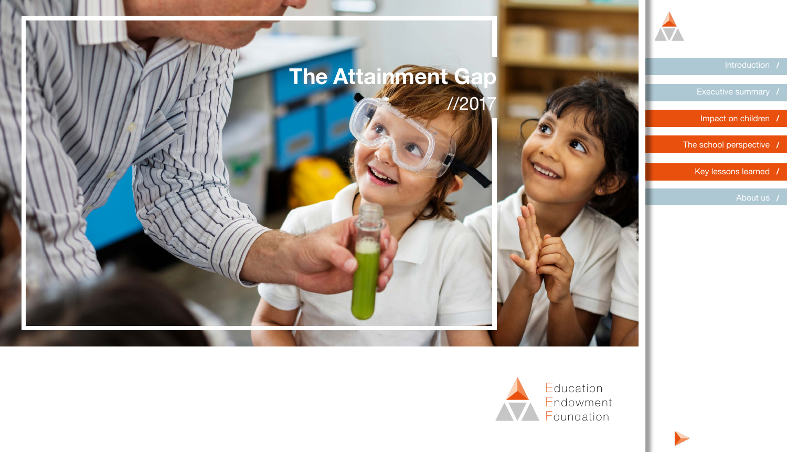

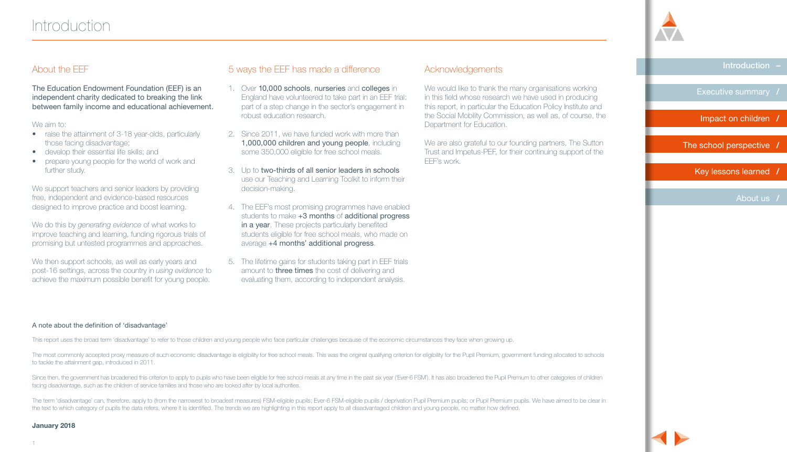

[Executive summary](#page-2-0) **/**

[Impact on children](#page-4-0) **/**

[The school perspective](#page-9-0) **/**

 [Key lessons learned](#page-16-0) **/**

[About us](#page--1-0) **/**

# <span id="page-1-0"></span>About the EEF

The Education Endowment Foundation (EEF) is an independent charity dedicated to breaking the link between family income and educational achievement.

#### We aim to:

- raise the attainment of 3-18 year-olds, particularly those facing disadvantage;
- develop their essential life skills; and
- prepare young people for the world of work and further study.

We support teachers and senior leaders by providing free, independent and evidence-based resources designed to improve practice and boost learning.

We do this by *generating evidence* of what works to improve teaching and learning, funding rigorous trials of promising but untested programmes and approaches.

We then support schools, as well as early years and post-16 settings, across the country in *using evidence* to achieve the maximum possible benefit for young people.

# 5 ways the EEF has made a difference

- 1. Over 10,000 schools, nurseries and colleges in England have volunteered to take part in an EEF trial: part of a step change in the sector's engagement in robust education research.
- 2. Since 2011, we have funded work with more than 1,000,000 children and young people, including some 350,000 eligible for free school meals.
- 3. Up to two-thirds of all senior leaders in schools use our Teaching and Learning Toolkit to inform their decision-making.
- 4. The EEF's most promising programmes have enabled students to make  $+3$  months of additional progress in a year. These projects particularly benefited students eligible for free school meals, who made on average +4 months' additional progress.
- 5. The lifetime gains for students taking part in EEF trials amount to three times the cost of delivering and evaluating them, according to independent analysis.

# Acknowledgements

We would like to thank the many organisations working in this field whose research we have used in producing this report, in particular the Education Policy Institute and the Social Mobility Commission, as well as, of course, the Department for Education.

We are also grateful to our founding partners, The Sutton Trust and Impetus-PEF, for their continuing support of the EEF's work.

#### A note about the definition of 'disadvantage'

This report uses the broad term 'disadvantage' to refer to those children and young people who face particular challenges because of the economic circumstances they face when growing up.

The most commonly accepted proxy measure of such economic disadvantage is eligibility for free school meals. This was the original qualifying criterion for eligibility for the Pupil Premium, government funding allocated to to tackle the attainment gap, introduced in 2011.

Since then, the government has broadened this criterion to apply to pupils who have been eligible for free school meals at any time in the past six year ('Ever-6 FSM'). It has also broadened the Pupil Premium to other cate facing disadvantage, such as the children of service families and those who are looked after by local authorities.

The term 'disadvantage' can, therefore, apply to (from the narrowest to broadest measures) FSM-eligible pupils; Ever-6 FSM-eligible pupils / deprivation Pupil Premium pupils; or Pupil Premium pupils. We have aimed to be cl the text to which category of pupils the data refers, where it is identified. The trends we are highlighting in this report apply to all disadvantaged children and young people, no matter how defined.

#### **January 2018**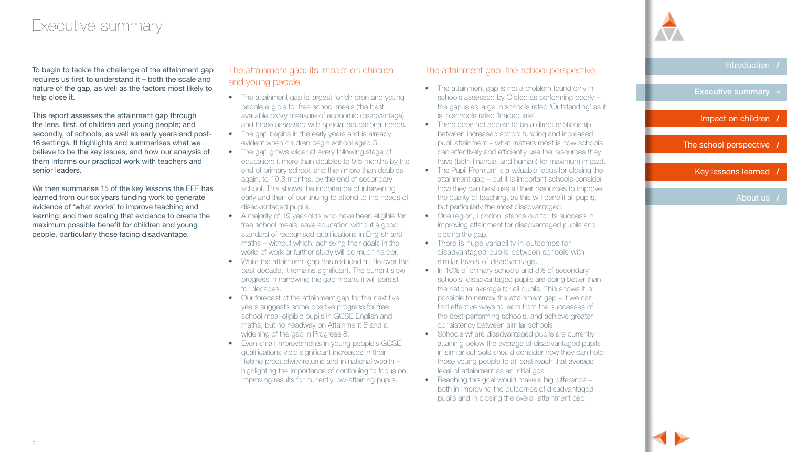<span id="page-2-0"></span>To begin to tackle the challenge of the attainment gap requires us first to understand it – both the scale and nature of the gap, as well as the factors most likely to help close it.

This report assesses the attainment gap through the lens, first, of children and young people; and secondly, of schools, as well as early years and post-16 settings. It highlights and summarises what we believe to be the key issues, and how our analysis of them informs our practical work with teachers and senior leaders.

We then summarise 15 of the key lessons the EEF has learned from our six years funding work to generate evidence of 'what works' to improve teaching and learning; and then scaling that evidence to create the maximum possible benefit for children and young people, particularly those facing disadvantage.

# The attainment gap: its impact on children and young people

- The attainment gap is largest for children and young people eligible for free school meals (the best available proxy measure of economic disadvantage) and those assessed with special educational needs.
- The gap begins in the early years and is already evident when children begin school aged 5.
- The gap grows wider at every following stage of education: it more than doubles to 9.5 months by the end of primary school, and then more than doubles again, to 19.3 months, by the end of secondary school. This shows the importance of intervening early and then of continuing to attend to the needs of disadvantaged pupils.
- A majority of 19 year-olds who have been eligible for free school meals leave education without a good standard of recognised qualifications in English and maths – without which, achieving their goals in the world of work or further study will be much harder.
- While the attainment gap has reduced a little over the past decade, it remains significant. The current slow progress in narrowing the gap means it will persist for decades.
- Our forecast of the attainment gap for the next five years suggests some positive progress for free school meal-eligible pupils in GCSE English and maths; but no headway on Attainment 8 and a widening of the gap in Progress 8.
- Even small improvements in young people's GCSE qualifications yield significant increases in their lifetime productivity returns and in national wealth – highlighting the importance of continuing to focus on improving results for currently low-attaining pupils.

# The attainment gap: the school perspective

- The attainment gap is not a problem found only in schools assessed by Ofsted as performing poorly – the gap is as large in schools rated 'Outstanding' as it is in schools rated 'Inadequate'.
- There does not appear to be a direct relationship between increased school funding and increased pupil attainment – what matters most is how schools can effectively and efficiently use the resources they have (both financial and human) for maximum impact.
- The Pupil Premium is a valuable focus for closing the attainment gap – but it is important schools consider how they can best use all their resources to improve the quality of teaching, as this will benefit all pupils, but particularly the most disadvantaged.
- One region, London, stands out for its success in improving attainment for disadvantaged pupils and closing the gap.
- There is huge variability in outcomes for disadvantaged pupils between schools with similar levels of disadvantage.
- In 10% of primary schools and 8% of secondary schools, disadvantaged pupils are doing better than the national average for all pupils. This shows it is possible to narrow the attainment gap – if we can find effective ways to learn from the successes of the best-performing schools, and achieve greater consistency between similar schools.
- Schools where disadvantaged pupils are currently attaining below the average of disadvantaged pupils in similar schools should consider how they can help those young people to at least reach that average level of attainment as an initial goal.
- Reaching this goal would make a big difference both in improving the outcomes of disadvantaged pupils and in closing the overall attainment gap.

[Introduction](#page-1-0) **/**

Executive summary

[Impact on children](#page-4-0) **/**

[The school perspective](#page-9-0) **/**

 [Key lessons learned](#page-16-0) **/**

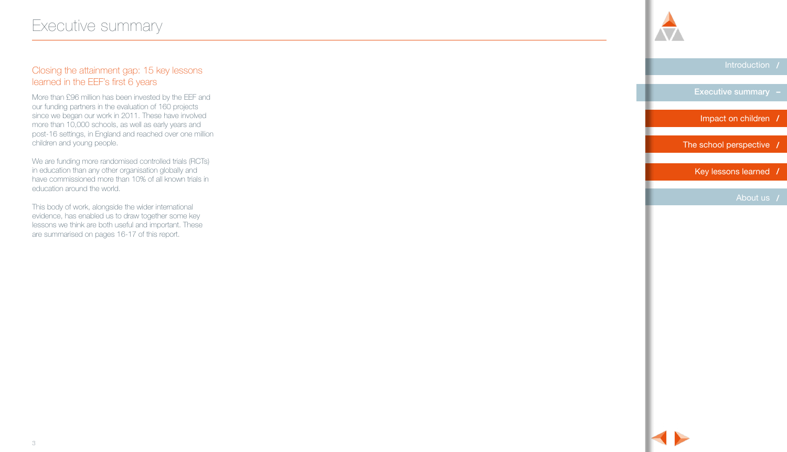# Closing the attainment gap: 15 key lessons learned in the EEF's first 6 years

More than £96 million has been invested by the EEF and our funding partners in the evaluation of 160 projects since we began our work in 2011. These have involved more than 10,000 schools, as well as early years and post-16 settings, in England and reached over one million children and young people.

We are funding more randomised controlled trials (RCTs) in education than any other organisation globally and have commissioned more than 10% of all known trials in education around the world.

This body of work, alongside the wider international evidence, has enabled us to draw together some key lessons we think are both useful and important. These are summarised on pages 16-17 of this report.



[Introduction](#page-1-0) **/**

[Executive summary](#page-2-0)

[Impact on children](#page-4-0) **/**

[The school perspective](#page-9-0) **/**

 [Key lessons learned](#page-16-0) **/**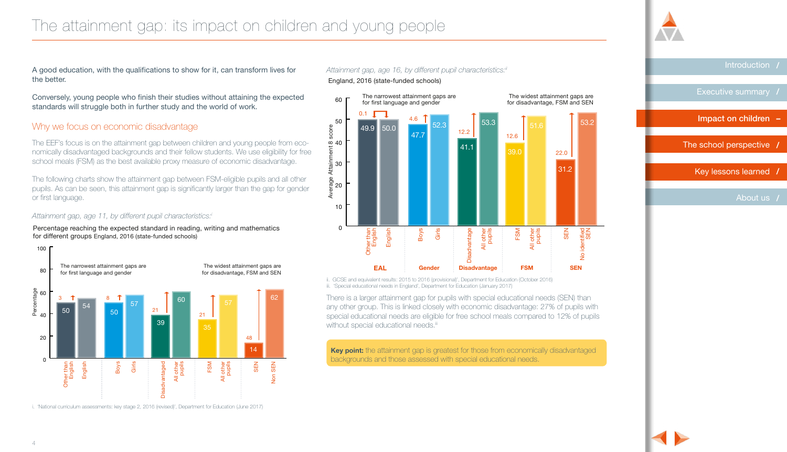### <span id="page-4-0"></span> $\begin{bmatrix} 1 \\ 1 \end{bmatrix}$ una people The attainment gap: its impact on children and young people

A good education, with the qualifications to show for it, can transform lives for the better.

Conversely, young people who finish their studies without attaining the expected standards will struggle both in further study and the world of work.

### Why we focus on economic disadvantage

The EEF's focus is on the attainment gap between children and young people from economically disadvantaged backgrounds and their fellow students. We use eligibility for free school meals (FSM) as the best available proxy measure of economic disadvantage.

The following charts show the attainment gap between FSM-eligible pupils and all other pupils. As can be seen, this attainment gap is significantly larger than the gap for gender or first language.

#### *Attainment gap, age 11, by different pupil characteristics:i*

Percentage reaching the expected standard in reading, writing and mathematics for different groups England, 2016 (state-funded schools)



i. 'National curriculum assessments: key stage 2, 2016 (revised)', Department for Education (June 2017)

### Attainment gap, age 16, by different pupil characteristics:<sup>i</sup>i England, 2016 (state-funded schools)



Disadvantaged

ii. GCSE and equivalent results: 2015 to 2016 (provisional)', Department for Education (October 2016) iii. 'Special educational needs in England', Department for Education (January 2017)

**Year 2 (KS1)**

**62** There is a larger attainment gap for pupils with special educational needs (SEN) than any other group. This is linked closely with economic disadvantage: 27% of pupils with special educational needs are eligible for free school meals compared to 12% of pupils without special educational needs.iii

> Key point: the attainment gap is greatest for those from economically disadvantaged backgrounds and those assessed with special educational needs.

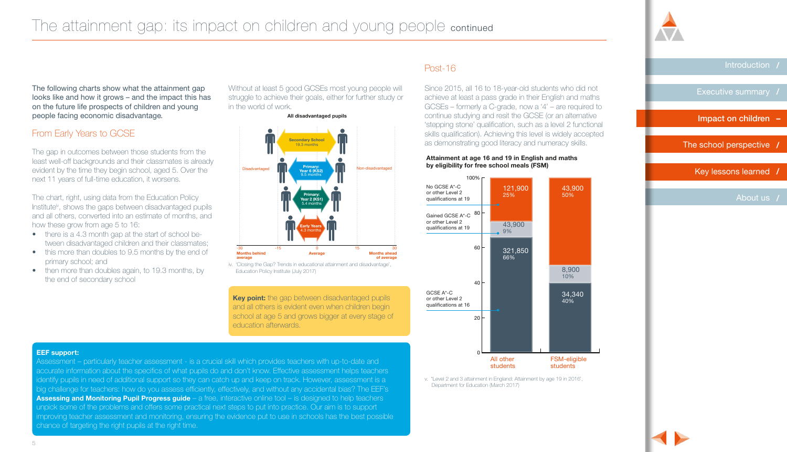

Esti[mated Lifet](#page-6-0)ime Productivity Return

[Introduction](#page-1-0) **/**

[Executive summary](#page-2-0) **/**

[Impact on children](#page-4-0) **–**

[The school perspective](#page-9-0) **/**

**England, Key lessons learned /** 

80

[About us](#page--1-0) **/**

Non FSM FSM Gap

people facing economic disadvantage. The following charts show what the attainment gap looks like and how it grows – and the impact this has on the future life prospects of children and young

# From Early Years to GCSE

kt 11 years of 57 <sup>21</sup> <sup>21</sup> next 11 years of full-time education, it worsens. evident by the time they begin school, aged 5. Over the stational pisadvantaged The gap in outcomes between those students from the least well-off backgrounds and their classmates is already

Institute<sup>iv</sup>, shows the gaps between disadvantaged pupils J<br>N and air others, convented into an el<br>how these grow from age 5 to 16: ة<br>O All other and all others, converted into an estimate of months, and<br>how these arow from age 5 to 16: Now these grow from age 5 to 16:<br>• there is a 4.3 month gap at the start of school be-48 The chart, right, using data from the Education Policy

- Disadvantaged<br>Disaged tween disadvantaged children and their classmates;
- primary school; and • this more than doubles to 9.5 months by the end of
	- then more than doubles again, to 19.3 months, by<br>the end of secondary school the end of secondary school

Without at least 5 good GCSEs most young people will struggle to achieve their goals, either for further study or in the world of work.

#### **All disadvantaged pupils**



iv. 'Closing the Gap? Trends in educational attainment and disadvantage', Education Policy Institute (July 2017)

**Key point:** the gap between disadvantaged pupils and all others is evident even when children begin school at age 5 and grows bigger at every stage of education afterwards.

#### **EEF support:**

recounted information about the specifics of what pupils do and don't know. Effective assessment helps teachers Assessment – pandulary teacher assessment - is a crucial skill which provides teachers with up-to-date and<br>accurate information about the specifics of what pupils do and don't know. Effective assessment helps teachers<br>iden Assessment – particularly teacher assessment - is a crucial skill which provides teachers with up-to-date and identify pupils in need of additional support so they can catch up and keep on track. However, assessment is a **Assessing and Monitoring Pupil Progress guide** – a free, interactive online tool – is designed to help teachers unpick some of the problems and offers some practical next steps to put into practice. Our aim is to support improving teacher assessment and monitoring, ensuring the evidence put to use in schools has the best possible chance of targeting the right pupils at the right time.



Since 2015, all 16 to 18-year-old students who did not achieve at least a pass grade in their English and maths GCSEs – formerly a C-grade, now a '4' – are required to continue studying and resit the GCSE (or an alternative 'stepping stone' qualification, such as a level 2 functional skills qualification). Achieving this level is widely accepted as demonstrating good literacy and numeracy skills.

**Attainment at age 16 and 19 in English and maths** 

Post-16

v. ''Level 2 and 3 attainment in England: Attainment by age 19 in 2016', Department for Education (March 2017)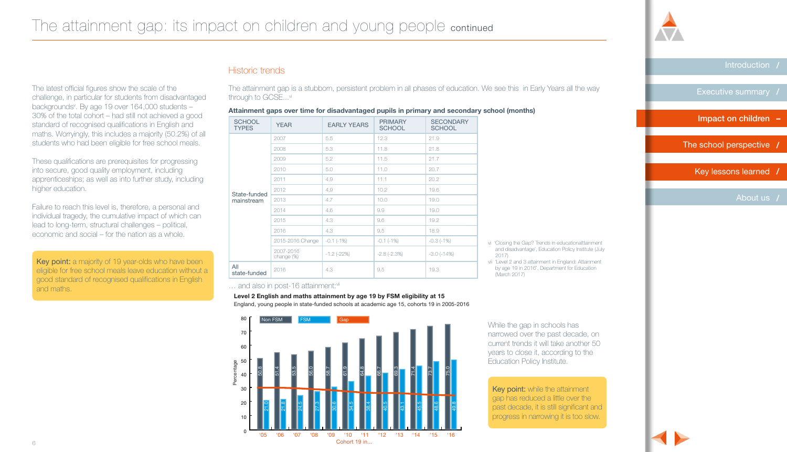

[Executive summary](#page-2-0) **/**

[Impact on children](#page-4-0) **–**

[The school perspective](#page-9-0) **/**

 [Key lessons learned](#page-16-0) **/**

[About us](#page--1-0) **/**

<span id="page-6-0"></span>The latest official figures show the scale of the challenge, in particular for students from disadvantaged backgrounds<sup>v</sup>. By age 19 over 164,000 students – 30% of the total cohort – had still not achieved a good standard of recognised qualifications in English and maths. Worryingly, this includes a majority (50.2%) of all students who had been eligible for free school meals.

These qualifications are prerequisites for progressing into secure, good quality employment, including apprenticeships; as well as into further study, including higher education.

Failure to reach this level is, therefore, a personal and individual tragedy, the cumulative impact of which can lead to long-term, structural challenges – political, economic and social – for the nation as a whole.

Key point: a majority of 19 year-olds who have been eligible for free school meals leave education without a good standard of recognised qualifications in English and maths.

# Historic trends

The attainment gap is a stubborn, persistent problem in all phases of education. We see this in Early Years all the way through to GCSE...<sup>vi</sup>

**Attainment gaps over time for disadvantaged pupils in primary and secondary school (months)**

| <b>SCHOOL</b><br><b>TYPES</b> | <b>YEAR</b>             | <b>EARLY YEARS</b> | <b>PRIMARY</b><br><b>SCHOOL</b> | <b>SECONDARY</b><br><b>SCHOOL</b> |
|-------------------------------|-------------------------|--------------------|---------------------------------|-----------------------------------|
| State-funded<br>mainstream    | 2007                    | 5.5                | 12.3                            | 21.9                              |
|                               | 2008                    | 5.3                | 11.8                            | 21.8                              |
|                               | 2009                    | 5.2                | 11.5                            | 21.7                              |
|                               | 2010                    | 5.0                | 11.0                            | 20.7                              |
|                               | 2011                    | 4.9                | 11.1                            | 20.2                              |
|                               | 2012                    | 4.9                | 10.2                            | 19.6                              |
|                               | 2013                    | 4.7                | 10.0                            | 19.0                              |
|                               | 2014                    | 4.6                | 9.9                             | 19.0                              |
|                               | 2015                    | 4.3                | 9.6                             | 19.2                              |
|                               | 2016                    | 4.3                | 9.5                             | 18.9                              |
|                               | 2015-2016 Change        | $-0.1$ $(-1%)$     | $-0.1(-1%)$                     | $-0.3(-1%)$                       |
|                               | 2007-2016<br>change (%) | $-1.2$ ( $-22\%$ ) | $-2.8$ $(-2.3%)$                | $-3.0$ $(-14%)$                   |
| All<br>state-funded           | 2016                    | 4.3                | 9.5                             | 19.3                              |

... and also in post-16 attainment:viii

#### **Level 2 English and maths attainment by age 19 by FSM eligibility at 15**

England, young people in state-funded schools at academic age 15, cohorts 19 in 2005-2016



vi 'Closing the Gap? Trends in educationalttainment and disadvantage', Education Policy Institute (July 2017)

vii 'Level 2 and 3 attainment in England: Attainment by age 19 in 2016', Department for Education (March 2017)

While the gap in schools has narrowed over the past decade, on current trends it will take another 50 years to close it, according to the Education Policy Institute.

Key point: while the attainment gap has reduced a little over the past decade, it is still significant and progress in narrowing it is too slow.

**Attainment at age 16 and 19 in English and maths**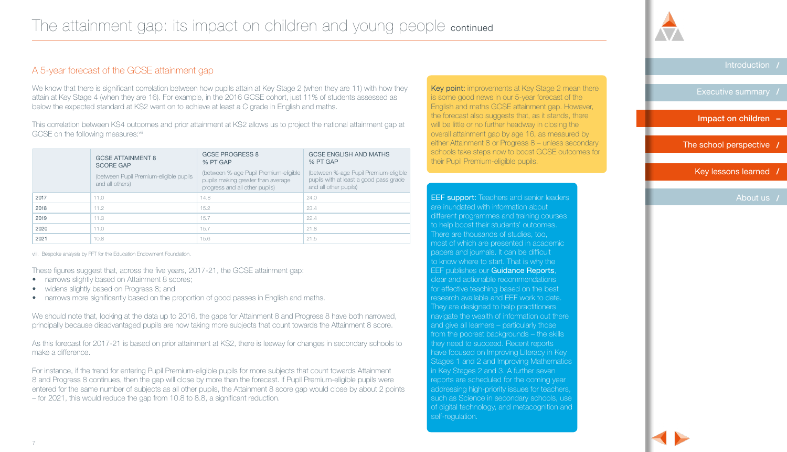# A 5-year forecast of the GCSE attainment gap

We know that there is significant correlation between how pupils attain at Key Stage 2 (when they are 11) with how they attain at Key Stage 4 (when they are 16). For example, in the 2016 GCSE cohort, just 11% of students assessed as below the expected standard at KS2 went on to achieve at least a C grade in English and maths.

This correlation between KS4 outcomes and prior attainment at KS2 allows us to project the national attainment gap at GCSE on the following measures: viii

|      | <b>GCSE ATTAINMENT 8</b><br><b>SCORE GAP</b>              | <b>GCSE PROGRESS 8</b><br>% PT GAP                                                                            | <b>GCSE ENGLISH AND MATHS</b><br>% PT GAP                                                                |
|------|-----------------------------------------------------------|---------------------------------------------------------------------------------------------------------------|----------------------------------------------------------------------------------------------------------|
|      | (between Pupil Premium-eligible pupils<br>and all others) | (between %-age Pupil Premium-eligible<br>pupils making greater than average<br>progress and all other pupils) | (between %-age Pupil Premium-eligible<br>pupils with at least a good pass grade<br>and all other pupils) |
| 2017 | 11.0                                                      | 14.8                                                                                                          | 24.0                                                                                                     |
| 2018 | 11.2                                                      | 15.2                                                                                                          | 23.4                                                                                                     |
| 2019 | 11.3                                                      | 15.7                                                                                                          | 22.4                                                                                                     |
| 2020 | 11.0                                                      | 15.7                                                                                                          | 21.8                                                                                                     |
| 2021 | 10.8                                                      | 15.6                                                                                                          | 21.5                                                                                                     |

viii. Bespoke analysis by FFT for the Education Endowment Foundation.

These figures suggest that, across the five years, 2017-21, the GCSE attainment gap:

- narrows slightly based on Attainment 8 scores;
- widens slightly based on Progress 8; and
- narrows more significantly based on the proportion of good passes in English and maths.

We should note that, looking at the data up to 2016, the gaps for Attainment 8 and Progress 8 have both narrowed, principally because disadvantaged pupils are now taking more subjects that count towards the Attainment 8 score.

As this forecast for 2017-21 is based on prior attainment at KS2, there is leeway for changes in secondary schools to make a difference.

For instance, if the trend for entering Pupil Premium-eligible pupils for more subjects that count towards Attainment 8 and Progress 8 continues, then the gap will close by more than the forecast. If Pupil Premium-eligible pupils were entered for the same number of subjects as all other pupils, the Attainment 8 score gap would close by about 2 points – for 2021, this would reduce the gap from 10.8 to 8.8, a significant reduction.

Key point: improvements at Key Stage 2 mean there is some good news in our 5-year forecast of the English and maths GCSE attainment gap. However, the forecast also suggests that, as it stands, there will be little or no further headway in closing the overall attainment gap by age 16, as measured by either Attainment 8 or Progress 8 – unless secondary schools take steps now to boost GCSE outcomes for their Pupil Premium-eligible pupils.

**EEF support:** Teachers and senior leaders are inundated with information about different programmes and training courses to help boost their students' outcomes. There are thousands of studies, too, most of which are presented in academic papers and journals. It can be difficult to know where to start. That is why the EEF publishes our **Guidance Reports**, clear and actionable recommendations for effective teaching based on the best research available and EEF work to date. They are designed to help practitioners navigate the wealth of information out there and give all learners – particularly those from the poorest backgrounds – the skills they need to succeed. Recent reports have focused on Improving Literacy in Key Stages 1 and 2 and Improving Mathematics in Key Stages 2 and 3. A further seven reports are scheduled for the coming year addressing high-priority issues for teachers, such as Science in secondary schools, use of digital technology, and metacognition and self-regulation.



[Introduction](#page-1-0) **/**

[Executive summary](#page-2-0) **/**

[Impact on children](#page-4-0) **–**

[The school perspective](#page-9-0) **/**

 [Key lessons learned](#page-16-0) **/**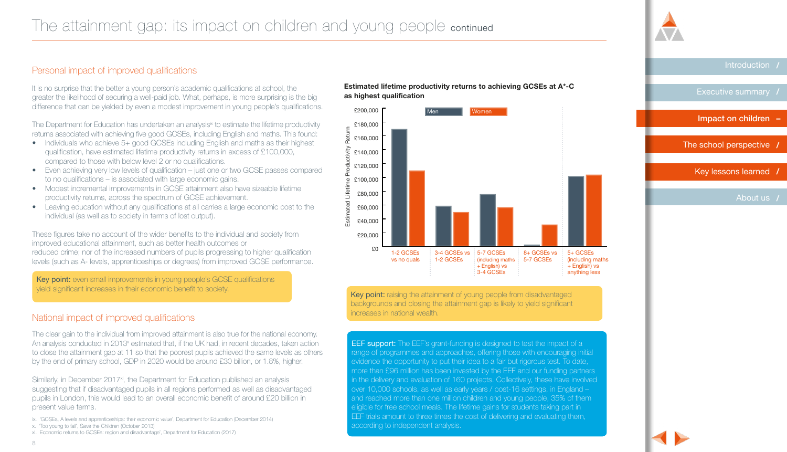#### The attainment gap: its impact on children and young people continued  $\mathbb{R}^n$  $\sqrt{2}$

0

# Personal impact of improved qualifications

40

It is no surprise that the better a young person's academic qualifications at school, the greater the likelihood of securing a well-paid job. What, perhaps, is more surprising is the big difference that can be yielded by even a modest improvement in young people's qualifications.

The Department for Education has undertaken an analysis<sup>ix</sup> to estimate the lifetime productivity returns associated with achieving five good GCSEs, including English and maths. This found:

- Individuals who achieve 5+ good GCSEs including English and maths as their highest qualification, have estimated lifetime productivity returns in excess of £100,000, compared to those with below level 2 or no qualifications.
- Even achieving very low levels of qualification just one or two GCSE passes compared to no qualifications – is associated with large economic gains.
- Modest incremental improvements in GCSE attainment also have sizeable lifetime productivity returns, across the spectrum of GCSE achievement.
- Leaving education without any qualifications at all carries a large economic cost to the individual (as well as to society in terms of lost output).

These figures take no account of the wider benefits to the individual and society from improved educational attainment, such as better health outcomes or reduced crime; nor of the increased numbers of pupils progressing to higher qualification levels (such as A- levels, apprenticeships or degrees) from improved GCSE performance.

Key point: even small improvements in young people's GCSE qualifications yield significant increases in their economic benefit to society.

# National impact of improved qualifications

The clear gain to the individual from improved attainment is also true for the national economy. An analysis conducted in 2013<sup>x</sup> estimated that, if the UK had, in recent decades, taken action to close the attainment gap at 11 so that the poorest pupils achieved the same levels as others by the end of primary school, GDP in 2020 would be around £30 billion, or 1.8%, higher.

Similarly, in December 2017<sup>xi</sup>, the Department for Education published an analysis suggesting that if disadvantaged pupils in all regions performed as well as disadvantaged pupils in London, this would lead to an overall economic benefit of around £20 billion in present value terms.

- ix. 'GCSEs, A levels and apprenticeships: their economic value', Department for Education (December 2014)
- x. 'Too young to fail', Save the Children (October 2013)
- xi. Economic returns to GCSEs: region and disadvantage', Department for Education (2017)





Key point: raising the attainment of young people from disadvantaged backgrounds and closing the attainment gap is likely to yield significant increases in national wealth.

EEF support: The EEF's grant-funding is designed to test the impact of a range of programmes and approaches, offering those with encouraging initial evidence the opportunity to put their idea to a fair but rigorous test. To date, more than £96 million has been invested by the EEF and our funding partners in the delivery and evaluation of 160 projects. Collectively, these have involved over 10,000 schools, as well as early years / post-16 settings, in England – and reached more than one million children and young people, 35% of them eligible for free school meals. The lifetime gains for students taking part in EEF trials amount to three times the cost of delivering and evaluating them, according to independent analysis.

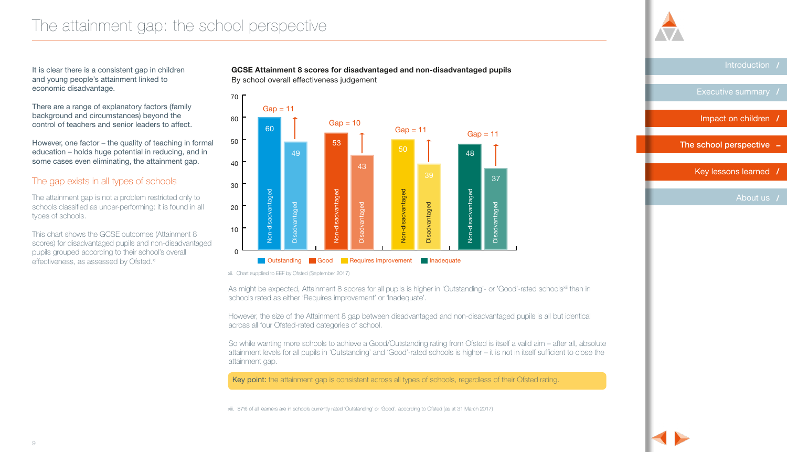<span id="page-9-0"></span>It is clear there is a consistent gap in children and young people's attainment linked to economic disadvantage.

There are a range of explanatory factors (family background and circumstances) beyond the control of teachers and senior leaders to affect.

However, one factor – the quality of teaching in formal education – holds huge potential in reducing, and in some cases even eliminating, the attainment gap.

### The gap exists in all types of schools

The attainment gap is not a problem restricted only to schools classified as under-performing: it is found in all types of schools.

This chart shows the GCSE outcomes (Attainment 8 scores) for disadvantaged pupils and non-disadvantaged pupils grouped according to their school's overall effectiveness, as assessed by Ofsted.<sup>xi</sup>

**GCSE Attainment 8 scores for disadvantaged and non-disadvantaged pupils** By school overall effectiveness judgement



xii. Chart supplied to EEF by Ofsted (September 2017)

As might be expected, Attainment 8 scores for all pupils is higher in 'Outstanding'- or 'Good'-rated schools<sup>xii</sup>i than in **of all average and the schools** of a very set on the average and the schools of a very set on the **(2016-2017 prices)** schools rated as either 'Requires improvement' or 'Inadequate'.

However, the size of the Attainment 8 gap between disadvantaged and non-disadvantaged pupils is all but identical across all four Ofsted-rated categories of school.

an diture per per pupil 2016-17 prices per pupil 2016-17 prices per pupil 2016-17 prices per pupil 2016-17 pri<br>ii. more schools to achieve a Good/Outstanding attainment gap.<br>attainment gap. So while wanting more schools to achieve a Good/Outstanding rating from Ofsted is itself a valid aim – after all, absolute attainment levels for all pupils in 'Outstanding' and 'Good'-rated schools is higher – it is not in itself sufficient to close the

Key point: the attainment gap is consistent across all types of schools, regardless of their Ofsted rating.

xiii. 87% of all learners are in schools currently rated 'Outstanding' or 'Good', according to Ofsted (as at 31 March 2017)

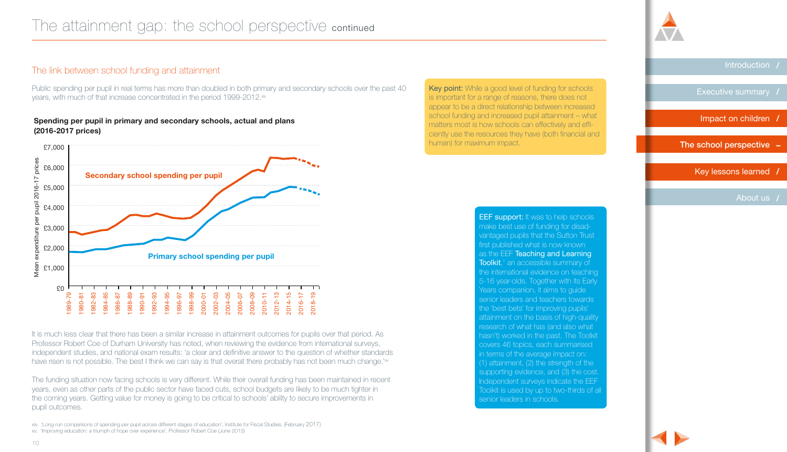# The link between school funding and attainment Disadvantaged <u>dia</u><br>Disa

Public spending per pupil in real terms has more than doubled in both primary and secondary schools over the past 40 years, with much of that increase concentrated in the period 1999-2012.<sup>xiv</sup>

Disadvantaged

Disadvantaged

### **Spending per pupil in primary and secondary schools, actual and plans (2016-2017 prices)**



It is much less clear that there has been a similar increase in attainment outcomes for pupils over that period. As Professor Robert Coe of Durham University has noted, when reviewing the evidence from international surveys, independent studies, and national exam results: 'a clear and definitive answer to the question of whether standards have risen is not possible. The best I think we can say is that overall there probably has not been much change.'<sup>w</sup>

The funding situation now facing schools is very different. While their overall funding has been maintained in recent years, even as other parts of the public sector have faced cuts, school budgets are likely to be much tighter in the coming years. Getting value for money is going to be critical to schools' ability to secure improvements in pupil outcomes.

Key point: While a good level of funding for schools is important for a range of reasons, there does not appear to be a direct relationship between increased school funding and increased pupil attainment - what matters most is how schools can effectively and effi- $\sim$  ciently use the resources they have (both financial and human) for maximum impact.

> **EEF support:** It was to help schools make best use of funding for disadvantaged pupils that the Sutton Trust first published what is now known as the EEF Teaching and Learning **Toolkit**,<sup>1</sup> an accessible summary of the international evidence on teaching 5-16 year-olds. Together with its Early Years companion, it aims to guide senior leaders and teachers towards the 'best bets' for improving pupils' attainment on the basis of high-quality research of what has (and also what hasn't) worked in the past. The Toolkit covers 46 topics, each summarised in terms of the average impact on: (1) attainment, (2) the strength of the supporting evidence, and (3) the cost. Independent surveys indicate the EEF Toolkit is used by up to two-thirds of all senior leaders in schools.

[Introduction](#page-1-0) **/**

[Executive summary](#page-2-0) **/**

[Impact on children](#page-4-0) **/**

[The school perspective](#page-9-0) **–**

 [Key lessons learned](#page-16-0) **/**

[About us](#page--1-0) **/**

xiv. 'Long-run comparisons of spending per pupil across different stages of education', Institute for Fiscal Studies, (February 2017)

xv. 'Improving education: a triumph of hope over experience', Professor Robert Coe (June 2013)

20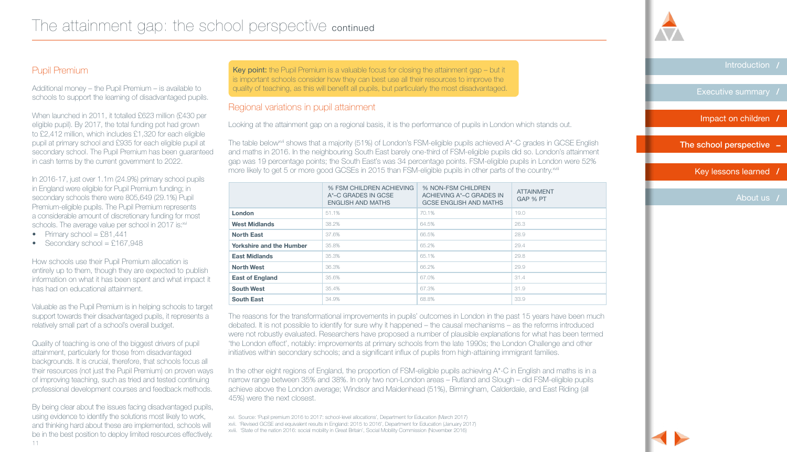# Pupil Premium

Additional money – the Pupil Premium – is available to schools to support the learning of disadvantaged pupils.

When launched in 2011, it totalled £623 million (£430 per eligible pupil). By 2017, the total funding pot had grown to £2,412 million, which includes £1,320 for each eligible pupil at primary school and £935 for each eligible pupil at secondary school. The Pupil Premium has been guaranteed in cash terms by the current government to 2022.

In 2016-17, just over 1.1m (24.9%) primary school pupils in England were eligible for Pupil Premium funding; in secondary schools there were 805,649 (29.1%) Pupil Premium-eligible pupils. The Pupil Premium represents a considerable amount of discretionary funding for most schools. The average value per school in 2017 is:<sup>xvi</sup>

- Primary school =  $£81,441$
- Secondary school =  $£167,948$

How schools use their Pupil Premium allocation is entirely up to them, though they are expected to publish information on what it has been spent and what impact it has had on educational attainment.

Valuable as the Pupil Premium is in helping schools to target support towards their disadvantaged pupils, it represents a relatively small part of a school's overall budget.

Quality of teaching is one of the biggest drivers of pupil attainment, particularly for those from disadvantaged backgrounds. It is crucial, therefore, that schools focus all their resources (not just the Pupil Premium) on proven ways of improving teaching, such as tried and tested continuing professional development courses and feedback methods.

11 By being clear about the issues facing disadvantaged pupils, using evidence to identify the solutions most likely to work, and thinking hard about these are implemented, schools will be in the best position to deploy limited resources effectively.

Key point: the Pupil Premium is a valuable focus for closing the attainment gap – but it is important schools consider how they can best use all their resources to improve the quality of teaching, as this will benefit all pupils, but particularly the most disadvantaged.

# Regional variations in pupil attainment

Looking at the attainment gap on a regional basis, it is the performance of pupils in London which stands out.

The table below<sup>ndi</sup> shows that a majority (51%) of London's FSM-eligible pupils achieved  $A^*$ -C grades in GCSE English and maths in 2016. In the neighbouring South East barely one-third of FSM-eligible pupils did so. London's attainment gap was 19 percentage points; the South East's was 34 percentage points. FSM-eligible pupils in London were 52% more likely to get 5 or more good GCSEs in 2015 than FSM-eligible pupils in other parts of the country.<sup>xviii</sup>

|                                 | % FSM CHILDREN ACHIEVING<br>A*-C GRADES IN GCSE<br><b>ENGLISH AND MATHS</b> | % NON-FSM CHILDREN<br>ACHIEVING A*-C GRADES IN<br><b>GCSE ENGLISH AND MATHS</b> | <b>ATTAINMENT</b><br>GAP % PT |
|---------------------------------|-----------------------------------------------------------------------------|---------------------------------------------------------------------------------|-------------------------------|
| <b>London</b>                   | 51.1%                                                                       | 70.1%                                                                           | 19.0                          |
| <b>West Midlands</b>            | 38.2%                                                                       | 64.5%                                                                           | 26.3                          |
| <b>North East</b>               | 37.6%                                                                       | 66.5%                                                                           | 28.9                          |
| <b>Yorkshire and the Humber</b> | 35.8%                                                                       | 65.2%                                                                           | 29.4                          |
| <b>East Midlands</b>            | 35.3%                                                                       | 65.1%                                                                           | 29.8                          |
| <b>North West</b>               | 36.3%                                                                       | 66.2%                                                                           | 29.9                          |
| <b>East of England</b>          | 35.6%                                                                       | 67.0%                                                                           | 31.4                          |
| <b>South West</b>               | 35.4%                                                                       | 67.3%                                                                           | 31.9                          |
| <b>South East</b>               | 34.9%                                                                       | 68.8%                                                                           | 33.9                          |
|                                 |                                                                             |                                                                                 |                               |

The reasons for the transformational improvements in pupils' outcomes in London in the past 15 years have been much debated. It is not possible to identify for sure why it happened – the causal mechanisms – as the reforms introduced were not robustly evaluated. Researchers have proposed a number of plausible explanations for what has been termed 'the London effect', notably: improvements at primary schools from the late 1990s; the London Challenge and other initiatives within secondary schools; and a significant influx of pupils from high-attaining immigrant families.

In the other eight regions of England, the proportion of FSM-eligible pupils achieving A\*-C in English and maths is in a narrow range between 35% and 38%. In only two non-London areas – Rutland and Slough – did FSM-eligible pupils achieve above the London average; Windsor and Maidenhead (51%), Birmingham, Calderdale, and East Riding (all 45%) were the next closest.



xvi. Source: 'Pupil premium 2016 to 2017: school-level allocations', Department for Education (March 2017)

xvii. 'Revised GCSE and equivalent results in England: 2015 to 2016', Department for Education (January 2017)

xviii. 'State of the nation 2016: social mobility in Great Britain', Social Mobility Commission (November 2016)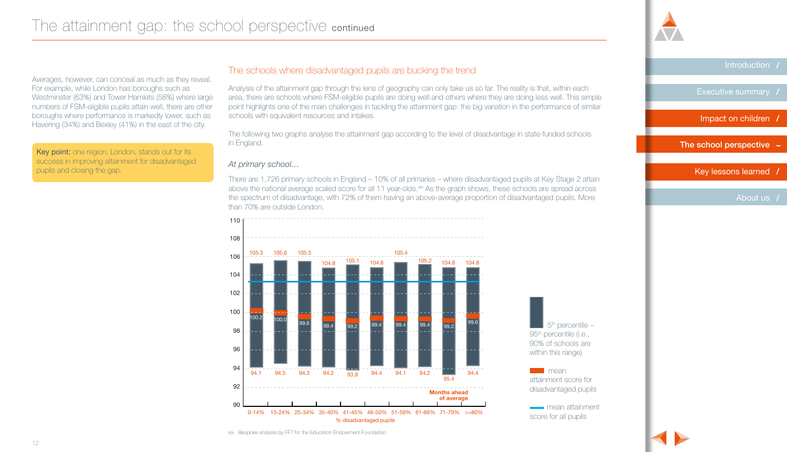

[Executive summary](#page-2-0) **/**

[Impact on children](#page-4-0) **/**

[The school perspective](#page-9-0) **–**

 [Key lessons learned](#page-16-0) **/**

[About us](#page--1-0) **/**

#### Averages, however, can conceal as much as they reveal. For example, while London has boroughs such as Westminster (63%) and Tower Hamlets (58%) where large numbers of FSM-eligible pupils attain well, there are other boroughs where performance is markedly lower, such as Havering (34%) and Bexley (41%) in the east of the city.

Key point: one region, London, stands out for its success in improving attainment for disadvantaged pupils and closing the gap.

# The schools where disadvantaged pupils are bucking the trend

Analysis of the attainment gap through the lens of geography can only take us so far. The reality is that, within each area, there are schools where FSM-eligible pupils are doing well and others where they are doing less well. This simple point highlights one of the main challenges in tackling the attainment gap: the big variation in the performance of similar schools with equivalent resources and intakes.

The following two graphs analyse the attainment gap according to the level of disadvantage in state-funded schools in England.

### *At primary school…*

**Title** the spectrum of disadvantage, with 72% of them having an above-average proportion of disadvantaged pupils. More There are 1,726 primary schools in England – 10% of all primaries – where disadvantaged pupils at Key Stage 2 attain above the national average scaled score for all 11 year-olds.<sup>xixi</sup> As the graph shows, these schools are spread across than 70% are outside London.



5<sup>th</sup> percentile – 95<sup>th</sup> percentile (i.e., 90% of schools are within this range)

**The mean** attainment score for disadvantaged pupils

mean attainment score for all pupils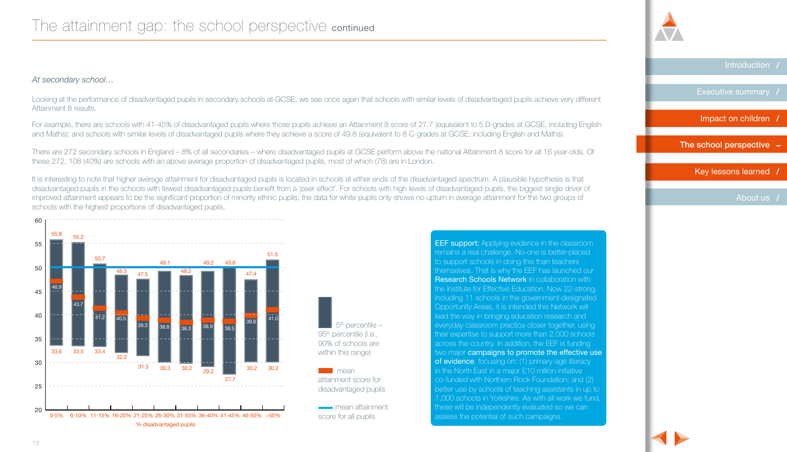# The attainment gap: the school perspective continued

### *At secondary school…*

Looking at the performance of disadvantaged pupils in secondary schools at GCSE, we see once again that schools with similar levels of disadvantaged pupils achieve very different Attainment 8 results.

For example, there are schools with 41-45% of disadvantaged pupils where those pupils achieve an Attainment 8 score of 27.7 (equivalent to 5 D-grades at GCSE, including English and Maths); and schools with similar levels of disadvantaged pupils where they achieve a score of 49.8 (equivalent to 8 C-grades at GCSE, including English and Maths).

There are 272 secondary schools in England – 8% of all secondaries – where disadvantaged pupils at GCSE perform above the national Attainment 8 score for all 16 year-olds. Of these 272, 108 (40%) are schools with an above average proportion of disadvantaged pupils, most of which (78) are in London.

It is interesting to note that higher average attainment for disadvantaged pupils is located in schools at either ends of the disadvantaged spectrum. A plausible hypothesis is that disadvantaged pupils in the schools with fewest disadvantaged pupils benefit from a 'peer effect'. For schools with high levels of disadvantaged pupils, the biggest single driver of improved attainment appears to be the significant proportion of minority ethnic pupils; the data for white pupils only shows no upturn in average attainment for the two groups of schools with the highest proportions of disadvantaged pupils.



1,000 schools in Yorkshire. As with all work we fund, EEF support: Applying evidence in the classroom remains a real challenge. No-one is better-placed to support schools in doing this than teachers themselves. That is why the EEF has launched our Research Schools Network in collaboration with the Institute for Effective Education. Now 22-strong, including 11 schools in the government-designated Opportunity Areas, it is intended this Network will lead the way in bringing education research and everyday classroom practice closer together, using their expertise to support more than 2,000 schools across the country. In addition, the EEF is funding two major campaigns to promote the effective use of evidence, focusing on: (1) primary-age literacy in the North East in a major £10 million initiative co-funded with Northern Rock Foundation; and (2) better use by schools of teaching assistants in up to these will be independently evaluated so we can assess the potential of such campaigns.



[Executive summary](#page-2-0) **/**

[Introduction](#page-1-0) **/**

[Impact on children](#page-4-0) **/**

[The school perspective](#page-9-0) **–**

 [Key lessons learned](#page-16-0) **/**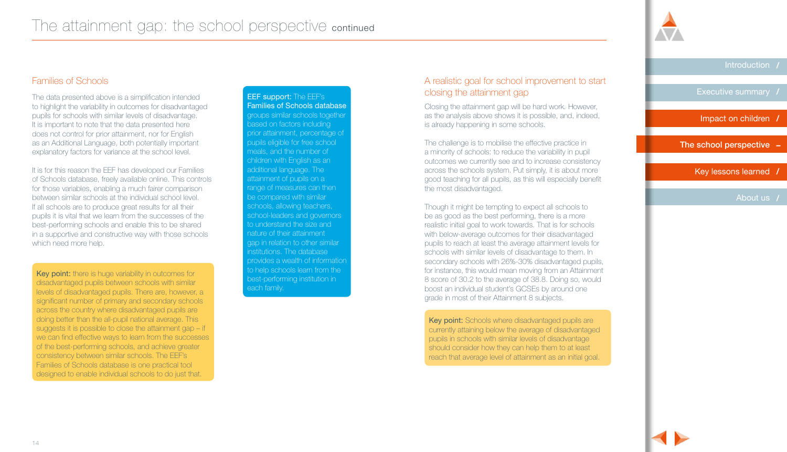

[Executive summary](#page-2-0) **/**

[Impact on children](#page-4-0) **/**

[The school perspective](#page-9-0) **–**

 [Key lessons learned](#page-16-0) **/**

[About us](#page--1-0) **/**

# Families of Schools

The data presented above is a simplification intended to highlight the variability in outcomes for disadvantaged pupils for schools with similar levels of disadvantage. It is important to note that the data presented here does not control for prior attainment, nor for English as an Additional Language, both potentially important explanatory factors for variance at the school level.

It is for this reason the EEF has developed our Families of Schools database, freely available online. This controls for those variables, enabling a much fairer comparison between similar schools at the individual school level. If all schools are to produce great results for all their pupils it is vital that we learn from the successes of the best-performing schools and enable this to be shared in a supportive and constructive way with those schools which need more help.

Key point: there is huge variability in outcomes for disadvantaged pupils between schools with similar levels of disadvantaged pupils. There are, however, a significant number of primary and secondary schools across the country where disadvantaged pupils are doing better than the all-pupil national average. This suggests it is possible to close the attainment gap – if we can find effective ways to learn from the successes of the best-performing schools, and achieve greater consistency between similar schools. The EEF's Families of Schools database is one practical tool designed to enable individual schools to do just that.

EEF support: The EEF's Families of Schools database groups similar schools together based on factors including prior attainment, percentage of pupils eligible for free school meals, and the number of children with English as an additional language. The attainment of pupils on a range of measures can then be compared with similar schools, allowing teachers, school-leaders and governors to understand the size and nature of their attainment gap in relation to other similar institutions. The database provides a wealth of information to help schools learn from the best-performing institution in each family.

# A realistic goal for school improvement to start closing the attainment gap

Closing the attainment gap will be hard work. However, as the analysis above shows it is possible, and, indeed, is already happening in some schools.

The challenge is to mobilise the effective practice in a minority of schools: to reduce the variability in pupil outcomes we currently see and to increase consistency across the schools system. Put simply, it is about more good teaching for all pupils, as this will especially benefit the most disadvantaged.

Though it might be tempting to expect all schools to be as good as the best performing, there is a more realistic initial goal to work towards. That is for schools with below-average outcomes for their disadvantaged pupils to reach at least the average attainment levels for schools with similar levels of disadvantage to them. In secondary schools with 26%-30% disadvantaged pupils, for instance, this would mean moving from an Attainment 8 score of 30.2 to the average of 38.8. Doing so, would boost an individual student's GCSEs by around one grade in most of their Attainment 8 subjects.

Key point: Schools where disadvantaged pupils are currently attaining below the average of disadvantaged pupils in schools with similar levels of disadvantage should consider how they can help them to at least reach that average level of attainment as an initial goal.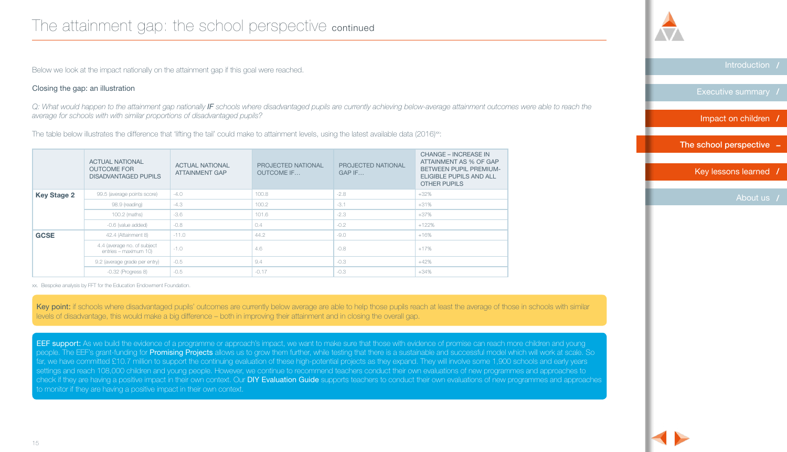Below we look at the impact nationally on the attainment gap if this goal were reached.

### Closing the gap: an illustration

*Q: What would happen to the attainment gap nationally IF schools where disadvantaged pupils are currently achieving below-average attainment outcomes were able to reach the average for schools with with similar proportions of disadvantaged pupils?*

The table below illustrates the difference that 'lifting the tail' could make to attainment levels, using the latest available data (2016)<sup>xx</sup>:

|                    | <b>ACTUAL NATIONAL</b><br><b>OUTCOME FOR</b><br><b>DISADVANTAGED PUPILS</b> | <b>ACTUAL NATIONAL</b><br><b>ATTAINMENT GAP</b> | PROJECTED NATIONAL<br><b>OUTCOME IF</b> | PROJECTED NATIONAL<br>$GAP$ IF | <b>CHANGE – INCREASE IN</b><br>ATTAINMENT AS % OF GAP<br><b>BETWEEN PUPIL PREMIUM-</b><br>ELIGIBLE PUPILS AND ALL<br><b>OTHER PUPILS</b> |
|--------------------|-----------------------------------------------------------------------------|-------------------------------------------------|-----------------------------------------|--------------------------------|------------------------------------------------------------------------------------------------------------------------------------------|
| <b>Key Stage 2</b> | 99.5 (average points score)                                                 | $-4.0$                                          | 100.8                                   | $-2.8$                         | $+32\%$                                                                                                                                  |
|                    | 98.9 (reading)                                                              | $-4.3$                                          | 100.2                                   | $-3.1$                         | $+31%$                                                                                                                                   |
|                    | 100.2 (maths)                                                               | $-3.6$                                          | 101.6                                   | $-2.3$                         | $+37\%$                                                                                                                                  |
|                    | -0.6 (value added)                                                          | -0.8                                            | 0.4                                     | $-0.2$                         | $+122%$                                                                                                                                  |
| <b>GCSE</b>        | 42.4 (Attainment 8)                                                         | $-11.0$                                         | 44.2                                    | $-9.0$                         | $+16%$                                                                                                                                   |
|                    | 4.4 (average no. of subject<br>entries - maximum 10)                        | $-1.0$                                          | 4.6                                     | $-0.8$                         | $+17%$                                                                                                                                   |
|                    | 9.2 (average grade per entry)                                               | $-0.5$                                          | 9.4                                     | $-0.3$                         | $+42%$                                                                                                                                   |
|                    | $-0.32$ (Progress 8)                                                        | $-0.5$                                          | $-0.17$                                 | $-0.3$                         | $+34%$                                                                                                                                   |

xx. Bespoke analysis by FFT for the Education Endowment Foundation.

Key point: if schools where disadvantaged pupils' outcomes are currently below average are able to help those pupils reach at least the average of those in schools with similar levels of disadvantage, this would make a big difference – both in improving their attainment and in closing the overall gap.

EEF support: As we build the evidence of a programme or approach's impact, we want to make sure that those with evidence of promise can reach more children and young people. The EEF's grant-funding for Promising Projects allows us to grow them further, while testing that there is a sustainable and successful model which will work at scale. So far, we have committed £10.7 million to support the continuing evaluation of these high-potential projects as they expand. They will involve some 1,900 schools and early years settings and reach 108,000 children and young people. However, we continue to recommend teachers conduct their own evaluations of new programmes and approaches to check if they are having a positive impact in their own context. Our DIY Evaluation Guide supports teachers to conduct their own evaluations of new programmes and approaches to monitor if they are having a positive impact in their own context.



[Executive summary](#page-2-0) **/**

[Introduction](#page-1-0) **/**

[Impact on children](#page-4-0) **/**

[The school perspective](#page-9-0) **–**

 [Key lessons learned](#page-16-0) **/**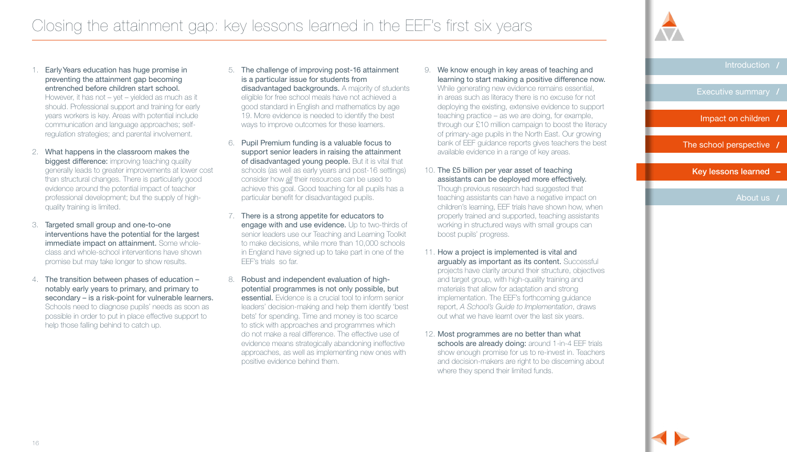

[Executive summary](#page-2-0) **/**

[Impact on children](#page-4-0) **/**

[The school perspective](#page-9-0) **/**

Key lessons learned **–**

[About us](#page--1-0) **/**

<span id="page-16-0"></span>1. Early Years education has huge promise in preventing the attainment gap becoming entrenched before children start school.

However, it has not – yet – yielded as much as it should. Professional support and training for early years workers is key. Areas with potential include communication and language approaches; selfregulation strategies; and parental involvement.

- 2. What happens in the classroom makes the biggest difference: improving teaching quality generally leads to greater improvements at lower cost than structural changes. There is particularly good evidence around the potential impact of teacher professional development; but the supply of highquality training is limited.
- 3. Targeted small group and one-to-one interventions have the potential for the largest immediate impact on attainment. Some wholeclass and whole-school interventions have shown promise but may take longer to show results.
- 4. The transition between phases of education notably early years to primary, and primary to secondary – is a risk-point for vulnerable learners. Schools need to diagnose pupils' needs as soon as possible in order to put in place effective support to help those falling behind to catch up.
- 5. The challenge of improving post-16 attainment is a particular issue for students from disadvantaged backgrounds. A majority of students eligible for free school meals have not achieved a good standard in English and mathematics by age 19. More evidence is needed to identify the best ways to improve outcomes for these learners.
- 6. Pupil Premium funding is a valuable focus to support senior leaders in raising the attainment of disadvantaged young people. But it is vital that schools (as well as early years and post-16 settings) consider how *all* their resources can be used to achieve this goal. Good teaching for all pupils has a particular benefit for disadvantaged pupils.
- 7. There is a strong appetite for educators to engage with and use evidence. Up to two-thirds of senior leaders use our Teaching and Learning Toolkit to make decisions, while more than 10,000 schools in England have signed up to take part in one of the EEF's trials so far.
- 8. Robust and independent evaluation of highpotential programmes is not only possible, but essential. Evidence is a crucial tool to inform senior leaders' decision-making and help them identify 'best bets' for spending. Time and money is too scarce to stick with approaches and programmes which do not make a real difference. The effective use of evidence means strategically abandoning ineffective approaches, as well as implementing new ones with positive evidence behind them.

9. We know enough in key areas of teaching and learning to start making a positive difference now. While generating new evidence remains essential, in areas such as literacy there is no excuse for not deploying the existing, extensive evidence to support teaching practice – as we are doing, for example, through our £10 million campaign to boost the literacy of primary-age pupils in the North East. Our growing bank of EEF guidance reports gives teachers the best available evidence in a range of key areas.

10. The £5 billion per year asset of teaching assistants can be deployed more effectively. Though previous research had suggested that teaching assistants can have a negative impact on children's learning, EEF trials have shown how, when properly trained and supported, teaching assistants working in structured ways with small groups can boost pupils' progress.

- 11. How a project is implemented is vital and arguably as important as its content. Successful projects have clarity around their structure, objectives and target group, with high-quality training and materials that allow for adaptation and strong implementation. The EEF's forthcoming guidance report, *A School's Guide to Implementation*, draws out what we have learnt over the last six years.
- 12. Most programmes are no better than what schools are already doing: around 1-in-4 EEF trials show enough promise for us to re-invest in. Teachers and decision-makers are right to be discerning about where they spend their limited funds.